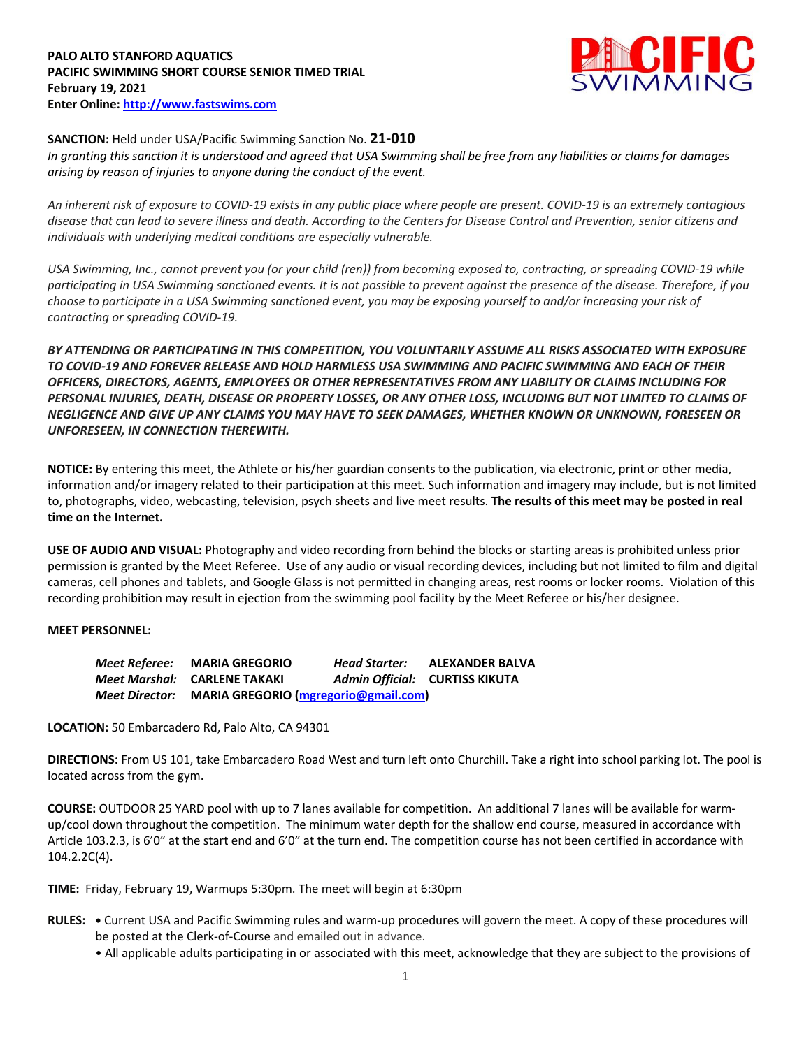

## **SANCTION:** Held under USA/Pacific Swimming Sanction No. **21-010**

*In granting this sanction it is understood and agreed that USA Swimming shall be free from any liabilities or claims for damages arising by reason of injuries to anyone during the conduct of the event.* 

*An inherent risk of exposure to COVID-19 exists in any public place where people are present. COVID-19 is an extremely contagious disease that can lead to severe illness and death. According to the Centers for Disease Control and Prevention, senior citizens and individuals with underlying medical conditions are especially vulnerable.*

*USA Swimming, Inc., cannot prevent you (or your child (ren)) from becoming exposed to, contracting, or spreading COVID-19 while participating in USA Swimming sanctioned events. It is not possible to prevent against the presence of the disease. Therefore, if you choose to participate in a USA Swimming sanctioned event, you may be exposing yourself to and/or increasing your risk of contracting or spreading COVID-19.*

*BY ATTENDING OR PARTICIPATING IN THIS COMPETITION, YOU VOLUNTARILY ASSUME ALL RISKS ASSOCIATED WITH EXPOSURE TO COVID-19 AND FOREVER RELEASE AND HOLD HARMLESS USA SWIMMING AND PACIFIC SWIMMING AND EACH OF THEIR OFFICERS, DIRECTORS, AGENTS, EMPLOYEES OR OTHER REPRESENTATIVES FROM ANY LIABILITY OR CLAIMS INCLUDING FOR PERSONAL INJURIES, DEATH, DISEASE OR PROPERTY LOSSES, OR ANY OTHER LOSS, INCLUDING BUT NOT LIMITED TO CLAIMS OF NEGLIGENCE AND GIVE UP ANY CLAIMS YOU MAY HAVE TO SEEK DAMAGES, WHETHER KNOWN OR UNKNOWN, FORESEEN OR UNFORESEEN, IN CONNECTION THEREWITH.*

**NOTICE:** By entering this meet, the Athlete or his/her guardian consents to the publication, via electronic, print or other media, information and/or imagery related to their participation at this meet. Such information and imagery may include, but is not limited to, photographs, video, webcasting, television, psych sheets and live meet results. **The results of this meet may be posted in real time on the Internet.**

**USE OF AUDIO AND VISUAL:** Photography and video recording from behind the blocks or starting areas is prohibited unless prior permission is granted by the Meet Referee. Use of any audio or visual recording devices, including but not limited to film and digital cameras, cell phones and tablets, and Google Glass is not permitted in changing areas, rest rooms or locker rooms. Violation of this recording prohibition may result in ejection from the swimming pool facility by the Meet Referee or his/her designee.

## **MEET PERSONNEL:**

*Meet Referee:* **MARIA GREGORIO** *Head Starter:* **ALEXANDER BALVA** *Meet Marshal:* **CARLENE TAKAKI** *Admin Official:* **CURTISS KIKUTA** *Meet Director:* **MARIA GREGORIO (mgregorio@gmail.com)**

**LOCATION:** 50 Embarcadero Rd, Palo Alto, CA 94301

**DIRECTIONS:** From US 101, take Embarcadero Road West and turn left onto Churchill. Take a right into school parking lot. The pool is located across from the gym.

**COURSE:** OUTDOOR 25 YARD pool with up to 7 lanes available for competition. An additional 7 lanes will be available for warmup/cool down throughout the competition. The minimum water depth for the shallow end course, measured in accordance with Article 103.2.3, is 6'0" at the start end and 6'0" at the turn end. The competition course has not been certified in accordance with 104.2.2C(4).

**TIME:** Friday, February 19, Warmups 5:30pm. The meet will begin at 6:30pm

- **RULES: •** Current USA and Pacific Swimming rules and warm-up procedures will govern the meet. A copy of these procedures will be posted at the Clerk-of-Course and emailed out in advance.
	- All applicable adults participating in or associated with this meet, acknowledge that they are subject to the provisions of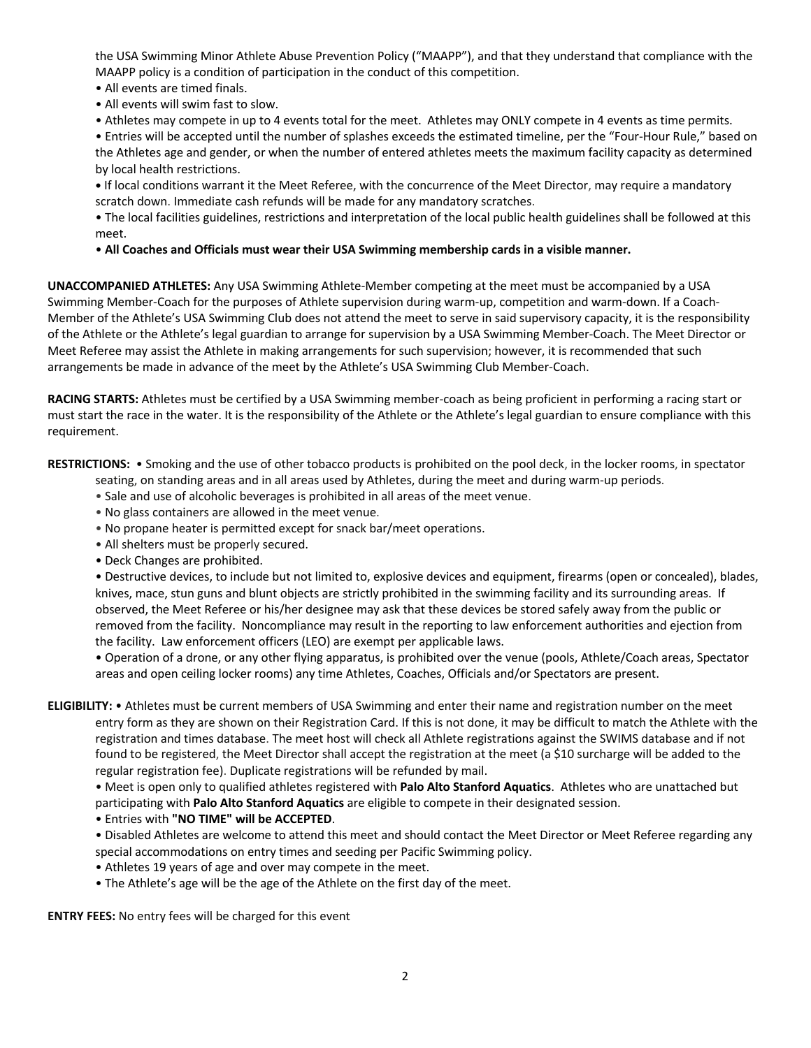the USA Swimming Minor Athlete Abuse Prevention Policy ("MAAPP"), and that they understand that compliance with the MAAPP policy is a condition of participation in the conduct of this competition.

- All events are timed finals.
- All events will swim fast to slow.

• Athletes may compete in up to 4 events total for the meet. Athletes may ONLY compete in 4 events as time permits.

• Entries will be accepted until the number of splashes exceeds the estimated timeline, per the "Four-Hour Rule," based on the Athletes age and gender, or when the number of entered athletes meets the maximum facility capacity as determined by local health restrictions.

**•** If local conditions warrant it the Meet Referee, with the concurrence of the Meet Director, may require a mandatory scratch down. Immediate cash refunds will be made for any mandatory scratches.

• The local facilities guidelines, restrictions and interpretation of the local public health guidelines shall be followed at this meet.

• **All Coaches and Officials must wear their USA Swimming membership cards in a visible manner.** 

**UNACCOMPANIED ATHLETES:** Any USA Swimming Athlete-Member competing at the meet must be accompanied by a USA Swimming Member-Coach for the purposes of Athlete supervision during warm-up, competition and warm-down. If a Coach-Member of the Athlete's USA Swimming Club does not attend the meet to serve in said supervisory capacity, it is the responsibility of the Athlete or the Athlete's legal guardian to arrange for supervision by a USA Swimming Member-Coach. The Meet Director or Meet Referee may assist the Athlete in making arrangements for such supervision; however, it is recommended that such arrangements be made in advance of the meet by the Athlete's USA Swimming Club Member-Coach.

**RACING STARTS:** Athletes must be certified by a USA Swimming member-coach as being proficient in performing a racing start or must start the race in the water. It is the responsibility of the Athlete or the Athlete's legal guardian to ensure compliance with this requirement.

**RESTRICTIONS:** • Smoking and the use of other tobacco products is prohibited on the pool deck, in the locker rooms, in spectator

- seating, on standing areas and in all areas used by Athletes, during the meet and during warm-up periods.
- Sale and use of alcoholic beverages is prohibited in all areas of the meet venue.
- No glass containers are allowed in the meet venue.
- No propane heater is permitted except for snack bar/meet operations.
- All shelters must be properly secured.
- Deck Changes are prohibited.

• Destructive devices, to include but not limited to, explosive devices and equipment, firearms (open or concealed), blades, knives, mace, stun guns and blunt objects are strictly prohibited in the swimming facility and its surrounding areas. If observed, the Meet Referee or his/her designee may ask that these devices be stored safely away from the public or removed from the facility. Noncompliance may result in the reporting to law enforcement authorities and ejection from the facility. Law enforcement officers (LEO) are exempt per applicable laws.

• Operation of a drone, or any other flying apparatus, is prohibited over the venue (pools, Athlete/Coach areas, Spectator areas and open ceiling locker rooms) any time Athletes, Coaches, Officials and/or Spectators are present.

**ELIGIBILITY:** • Athletes must be current members of USA Swimming and enter their name and registration number on the meet entry form as they are shown on their Registration Card. If this is not done, it may be difficult to match the Athlete with the registration and times database. The meet host will check all Athlete registrations against the SWIMS database and if not found to be registered, the Meet Director shall accept the registration at the meet (a \$10 surcharge will be added to the regular registration fee). Duplicate registrations will be refunded by mail.

• Meet is open only to qualified athletes registered with **Palo Alto Stanford Aquatics**. Athletes who are unattached but participating with **Palo Alto Stanford Aquatics** are eligible to compete in their designated session.

- Entries with **"NO TIME" will be ACCEPTED**.
- Disabled Athletes are welcome to attend this meet and should contact the Meet Director or Meet Referee regarding any special accommodations on entry times and seeding per Pacific Swimming policy.
- Athletes 19 years of age and over may compete in the meet.
- The Athlete's age will be the age of the Athlete on the first day of the meet.

**ENTRY FEES:** No entry fees will be charged for this event